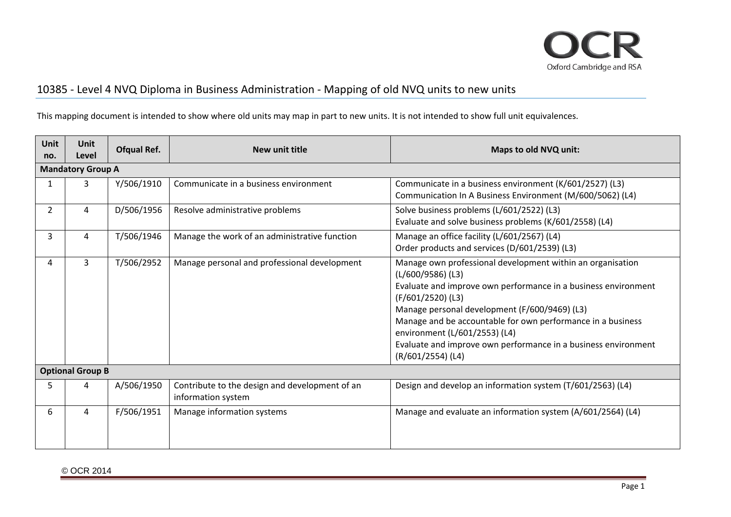

## 10385 ‐ Level 4 NVQ Diploma in Business Administration ‐ Mapping of old NVQ units to new units

This mapping document is intended to show where old units may map in part to new units. It is not intended to show full unit equivalences.

| <b>Unit</b><br>no.      | Unit<br>Level            | Ofqual Ref. | New unit title                                                       | Maps to old NVQ unit:                                                                                                                                                                                                                                                                                                                                                                                            |  |
|-------------------------|--------------------------|-------------|----------------------------------------------------------------------|------------------------------------------------------------------------------------------------------------------------------------------------------------------------------------------------------------------------------------------------------------------------------------------------------------------------------------------------------------------------------------------------------------------|--|
|                         | <b>Mandatory Group A</b> |             |                                                                      |                                                                                                                                                                                                                                                                                                                                                                                                                  |  |
| 1                       | 3                        | Y/506/1910  | Communicate in a business environment                                | Communicate in a business environment (K/601/2527) (L3)<br>Communication In A Business Environment (M/600/5062) (L4)                                                                                                                                                                                                                                                                                             |  |
| $\overline{2}$          | 4                        | D/506/1956  | Resolve administrative problems                                      | Solve business problems (L/601/2522) (L3)<br>Evaluate and solve business problems (K/601/2558) (L4)                                                                                                                                                                                                                                                                                                              |  |
| 3                       | 4                        | T/506/1946  | Manage the work of an administrative function                        | Manage an office facility (L/601/2567) (L4)<br>Order products and services (D/601/2539) (L3)                                                                                                                                                                                                                                                                                                                     |  |
| 4                       | 3                        | T/506/2952  | Manage personal and professional development                         | Manage own professional development within an organisation<br>$(L/600/9586)$ (L3)<br>Evaluate and improve own performance in a business environment<br>(F/601/2520) (L3)<br>Manage personal development (F/600/9469) (L3)<br>Manage and be accountable for own performance in a business<br>environment (L/601/2553) (L4)<br>Evaluate and improve own performance in a business environment<br>(R/601/2554) (L4) |  |
| <b>Optional Group B</b> |                          |             |                                                                      |                                                                                                                                                                                                                                                                                                                                                                                                                  |  |
| 5.                      | 4                        | A/506/1950  | Contribute to the design and development of an<br>information system | Design and develop an information system (T/601/2563) (L4)                                                                                                                                                                                                                                                                                                                                                       |  |
| 6                       | 4                        | F/506/1951  | Manage information systems                                           | Manage and evaluate an information system (A/601/2564) (L4)                                                                                                                                                                                                                                                                                                                                                      |  |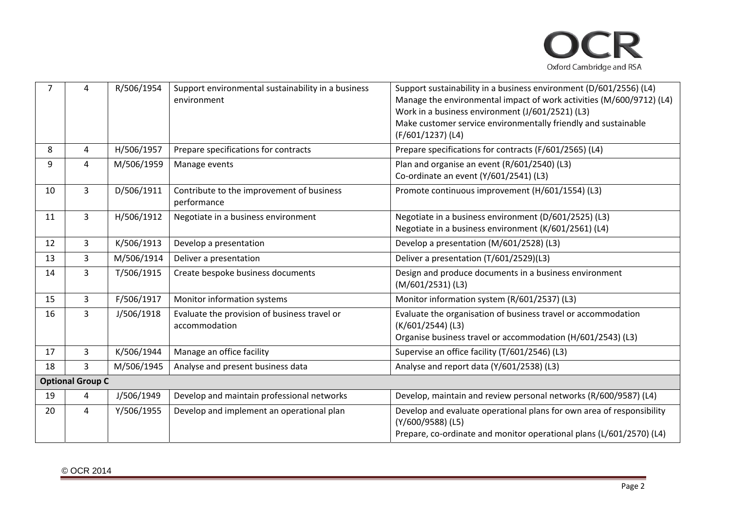

| $\overline{7}$ | 4                       | R/506/1954 | Support environmental sustainability in a business<br>environment | Support sustainability in a business environment (D/601/2556) (L4)<br>Manage the environmental impact of work activities (M/600/9712) (L4)<br>Work in a business environment (J/601/2521) (L3)<br>Make customer service environmentally friendly and sustainable<br>(F/601/1237) (L4) |
|----------------|-------------------------|------------|-------------------------------------------------------------------|---------------------------------------------------------------------------------------------------------------------------------------------------------------------------------------------------------------------------------------------------------------------------------------|
| 8              | 4                       | H/506/1957 | Prepare specifications for contracts                              | Prepare specifications for contracts (F/601/2565) (L4)                                                                                                                                                                                                                                |
| 9              | 4                       | M/506/1959 | Manage events                                                     | Plan and organise an event (R/601/2540) (L3)<br>Co-ordinate an event (Y/601/2541) (L3)                                                                                                                                                                                                |
| 10             | $\overline{3}$          | D/506/1911 | Contribute to the improvement of business<br>performance          | Promote continuous improvement (H/601/1554) (L3)                                                                                                                                                                                                                                      |
| 11             | $\mathbf{3}$            | H/506/1912 | Negotiate in a business environment                               | Negotiate in a business environment (D/601/2525) (L3)<br>Negotiate in a business environment (K/601/2561) (L4)                                                                                                                                                                        |
| 12             | 3                       | K/506/1913 | Develop a presentation                                            | Develop a presentation (M/601/2528) (L3)                                                                                                                                                                                                                                              |
| 13             | 3                       | M/506/1914 | Deliver a presentation                                            | Deliver a presentation (T/601/2529)(L3)                                                                                                                                                                                                                                               |
| 14             | $\overline{3}$          | T/506/1915 | Create bespoke business documents                                 | Design and produce documents in a business environment<br>$(M/601/2531)$ (L3)                                                                                                                                                                                                         |
| 15             | $\overline{3}$          | F/506/1917 | Monitor information systems                                       | Monitor information system (R/601/2537) (L3)                                                                                                                                                                                                                                          |
| 16             | $\overline{3}$          | J/506/1918 | Evaluate the provision of business travel or<br>accommodation     | Evaluate the organisation of business travel or accommodation<br>$(K/601/2544)$ (L3)<br>Organise business travel or accommodation (H/601/2543) (L3)                                                                                                                                   |
| 17             | $\overline{3}$          | K/506/1944 | Manage an office facility                                         | Supervise an office facility (T/601/2546) (L3)                                                                                                                                                                                                                                        |
| 18             | 3                       | M/506/1945 | Analyse and present business data                                 | Analyse and report data (Y/601/2538) (L3)                                                                                                                                                                                                                                             |
|                | <b>Optional Group C</b> |            |                                                                   |                                                                                                                                                                                                                                                                                       |
| 19             | 4                       | J/506/1949 | Develop and maintain professional networks                        | Develop, maintain and review personal networks (R/600/9587) (L4)                                                                                                                                                                                                                      |
| 20             | 4                       | Y/506/1955 | Develop and implement an operational plan                         | Develop and evaluate operational plans for own area of responsibility<br>(Y/600/9588) (L5)<br>Prepare, co-ordinate and monitor operational plans (L/601/2570) (L4)                                                                                                                    |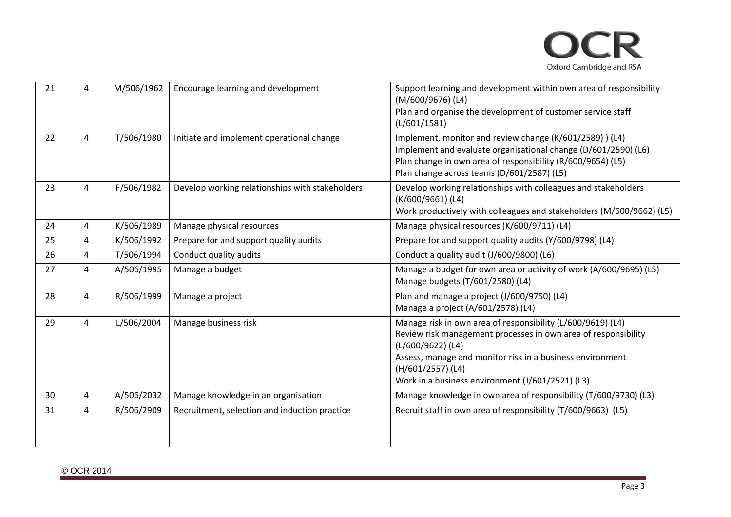

| 21 | 4              | M/506/1962 | Encourage learning and development              | Support learning and development within own area of responsibility<br>(M/600/9676) (L4)<br>Plan and organise the development of customer service staff<br>(L/601/1581)                                                                                                                   |
|----|----------------|------------|-------------------------------------------------|------------------------------------------------------------------------------------------------------------------------------------------------------------------------------------------------------------------------------------------------------------------------------------------|
| 22 | $\overline{4}$ | T/506/1980 | Initiate and implement operational change       | Implement, monitor and review change (K/601/2589)) (L4)<br>Implement and evaluate organisational change (D/601/2590) (L6)<br>Plan change in own area of responsibility (R/600/9654) (L5)<br>Plan change across teams (D/601/2587) (L5)                                                   |
| 23 | 4              | F/506/1982 | Develop working relationships with stakeholders | Develop working relationships with colleagues and stakeholders<br>(K/600/9661) (L4)<br>Work productively with colleagues and stakeholders (M/600/9662) (L5)                                                                                                                              |
| 24 | 4              | K/506/1989 | Manage physical resources                       | Manage physical resources (K/600/9711) (L4)                                                                                                                                                                                                                                              |
| 25 | 4              | K/506/1992 | Prepare for and support quality audits          | Prepare for and support quality audits (Y/600/9798) (L4)                                                                                                                                                                                                                                 |
| 26 | 4              | T/506/1994 | Conduct quality audits                          | Conduct a quality audit (J/600/9800) (L6)                                                                                                                                                                                                                                                |
| 27 | 4              | A/506/1995 | Manage a budget                                 | Manage a budget for own area or activity of work (A/600/9695) (L5)<br>Manage budgets (T/601/2580) (L4)                                                                                                                                                                                   |
| 28 | 4              | R/506/1999 | Manage a project                                | Plan and manage a project (J/600/9750) (L4)<br>Manage a project (A/601/2578) (L4)                                                                                                                                                                                                        |
| 29 | 4              | L/506/2004 | Manage business risk                            | Manage risk in own area of responsibility (L/600/9619) (L4)<br>Review risk management processes in own area of responsibility<br>(L/600/9622) (L4)<br>Assess, manage and monitor risk in a business environment<br>(H/601/2557) (L4)<br>Work in a business environment (J/601/2521) (L3) |
| 30 | 4              | A/506/2032 | Manage knowledge in an organisation             | Manage knowledge in own area of responsibility (T/600/9730) (L3)                                                                                                                                                                                                                         |
| 31 | 4              | R/506/2909 | Recruitment, selection and induction practice   | Recruit staff in own area of responsibility (T/600/9663) (L5)                                                                                                                                                                                                                            |